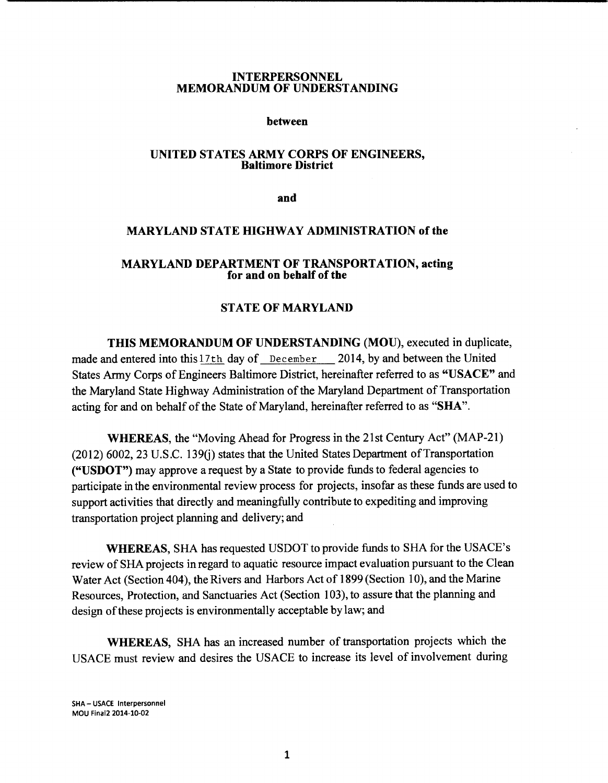#### INTERPERSONNEL MEMORANDUM OF UNDERSTANDING

#### between

#### UNITED STATES ARMY CORPS OF ENGINEERS, Baltimore District

and

#### MARYLAND STATE HIGHWAY ADMINISTRATION of the

### MARYLAND DEPARTMENT OF TRANSPORTATION, acting for and on behalf of the

# STATE OF MARYLAND

THIS MEMORANDUM OF UNDERSTANDING (MOU), executed in duplicate, made and entered into this 17th day of December 2014, by and between the United States Army Corps of Engineers Baltimore District, hereinafter referred to as "USACE" and the Maryland State Highway Administration of the Maryland Department of Transportation acting for and on behalf of the State of Maryland, hereinafter referred to as "SHA".

WHEREAS, the "Moving Ahead for Progress in the 21st Century Act" (MAP-21)  $(2012)$  6002, 23 U.S.C. 139 $(i)$  states that the United States Department of Transportation ("USDOT") may approve a request by a State to provide funds to federal agencies to participate in the environmental review process for projects, insofar as these funds are used to support activities that directly and meaningfully contribute to expediting and improving transportation project planning and delivery; and

WHEREAS, SHA has requested USDOT to provide funds to SHA for the USACE's review of SHA projects in regard to aquatic resource impact evaluation pursuant to the Clean Water Act (Section 404), the Rivers and Harbors Act of 1899 (Section 10), and the Marine Resources, Protection, and Sanctuaries Act (Section 103), to assure that the planning and design of these projects is environmentally acceptable by law; and

WHEREAS, SHA has an increased number of transportation projects which the USACE must review and desires the USACE to increase its level of involvement during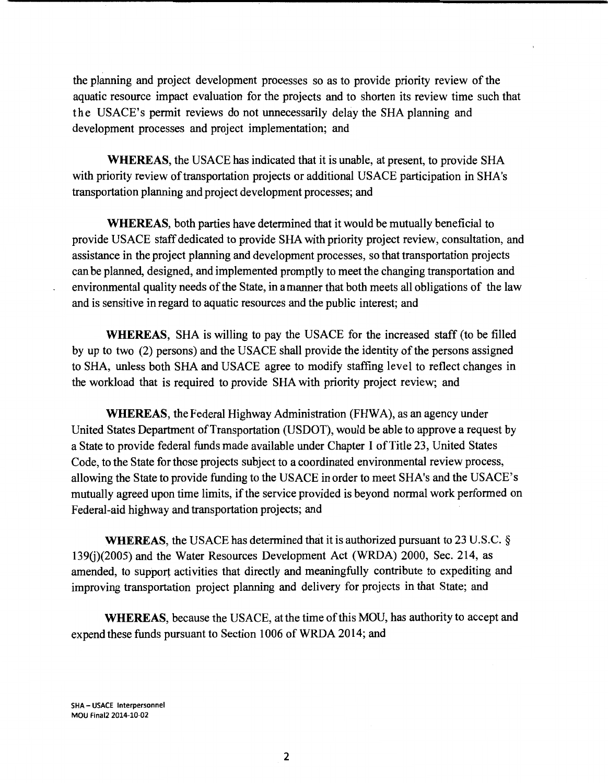the planning and project development processes so as to provide priority review of the aquatic resource impact evaluation for the projects and to shorten its review time such that the USACE's permit reviews do not unnecessarily delay the SHA planning and development processes and project implementation; and

**WHEREAS,** the USACE has indicated that it is unable, at present, to provide SHA with priority review of transportation projects or additional USACE participation in SHA's transportation planning and project development processes; and

**WHEREAS,** both parties have determined that it would be mutually beneficial to provide USACE staff dedicated to provide SHA with priority project review, consultation, and assistance in the project planning and development processes, so that transportation projects can be planned, designed, and implemented promptly to meet the changing transportation and environmental quality needs of the State, in a manner that both meets all obligations of the law and is sensitive in regard to aquatic resources and the public interest; and

**WHEREAS,** SHA is willing to pay the USACE for the increased staff (to be filled by up to two (2) persons) and the USACE shall provide the identity of the persons assigned to SHA, unless both SHA and USACE agree to modify staffing level to reflect changes in the workload that is required to provide SHA with priority project review; and

**WHEREAS,** the Federal Highway Administration (FHWA), as an agency under United States Department of Transportation (USDOT), would be able to approve a request by a State to provide federal funds made available under Chapter I ofTitle 23, United States Code, to the State for those projects subject to a coordinated environmental review process, allowing the State to provide funding to the USACE in order to meet SHA's and the USACE' s mutually agreed upon time limits, if the service provided is beyond normal work performed on Federal-aid highway and transportation projects; and

**WHEREAS,** the USACE has determined that it is authorized pursuant to 23 U.S.C. § 139(j)(2005) and the Water Resources Development Act (WRDA) 2000, Sec. 214, as amended, to support activities that directly and meaningfully contribute to expediting and improving transportation project planning and delivery for projects in that State; and

WHEREAS, because the USACE, at the time of this MOU, has authority to accept and expend these funds pursuant to Section 1006 of WRDA 2014; and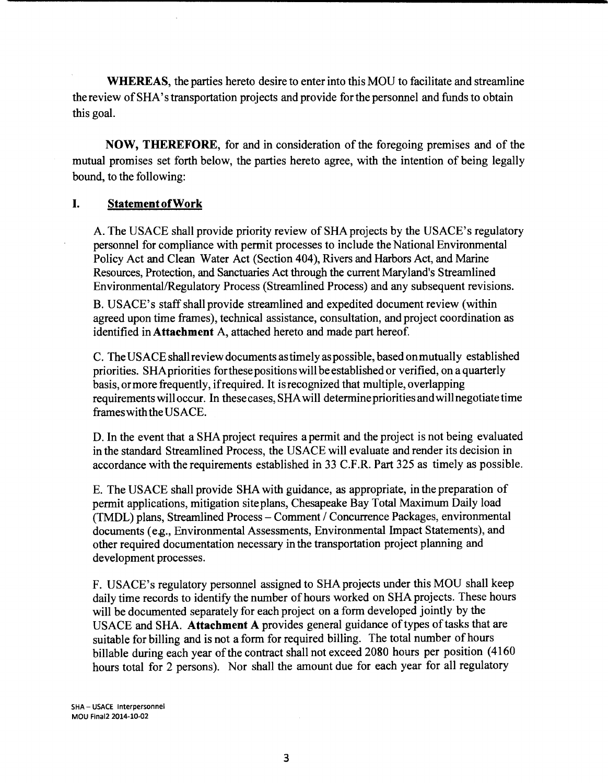**WHEREAS,** the parties hereto desire to enter into this MOU to facilitate and streamline the review ofSHA's transportation projects and provide for the personnel and funds to obtain this goal.

**NOW, THEREFORE,** for and in consideration of the foregoing premises and of the mutual promises set forth below, the parties hereto agree, with the intention of being legally bound, to the following:

## **I. StatementofWork**

A. The USACE shall provide priority review of SHA projects by the USACE's regulatory personnel for compliance with permit processes to include the National Environmental Policy Act and Clean Water Act (Section 404), Rivers and Harbors Act, and Marine Resources, Protection, and Sanctuaries Act through the current Maryland's Streamlined Environmental/Regulatory Process (Streamlined Process) and any subsequent revisions.

B. USACE's staff shall provide streamlined and expedited document review (within agreed upon time frames), technical assistance, consultation, and project coordination as identified in **Attachment** A, attached hereto and made part hereof.

C. The USACE shall review documents as timely as possible, based on mutually established priorities. SHA priorities for these positions will be established or verified, on a quarterly basis, or more frequently, if required. It is recognized that multiple, overlapping requirements will occur. In these cases, SHA will determine priorities and will negotiate time frames with the USACE.

D. In the event that a SHA project requires a permit and the project is not being evaluated in the standard Streamlined Process, the USACE will evaluate and render its decision in accordance with the requirements established in 33 C.F .R. Part 325 as timely as possible.

E. The USACE shall provide SHA with guidance, as appropriate, in the preparation of permit applications, mitigation site plans, Chesapeake Bay Total Maximum Daily load (TMDL) plans, Streamlined Process - Comment / Concurrence Packages, environmental documents (e.g., Environmental Assessments, Environmental Impact Statements), and other required documentation necessary in the transportation project planning and development processes.

F. USACE's regulatory personnel assigned to SHAprojects under this MOU shall keep daily time records to identify the number of hours worked on SHA projects. These hours will be documented separately for each project on a form developed jointly by the USACE and SHA. **Attachment** A provides general guidance of types of tasks that are suitable for billing and is not a form for required billing. The total number of hours billable during each year of the contract shall not exceed 2080 hours per position (4160 hours total for 2 persons). Nor shall the amount due for each year for all regulatory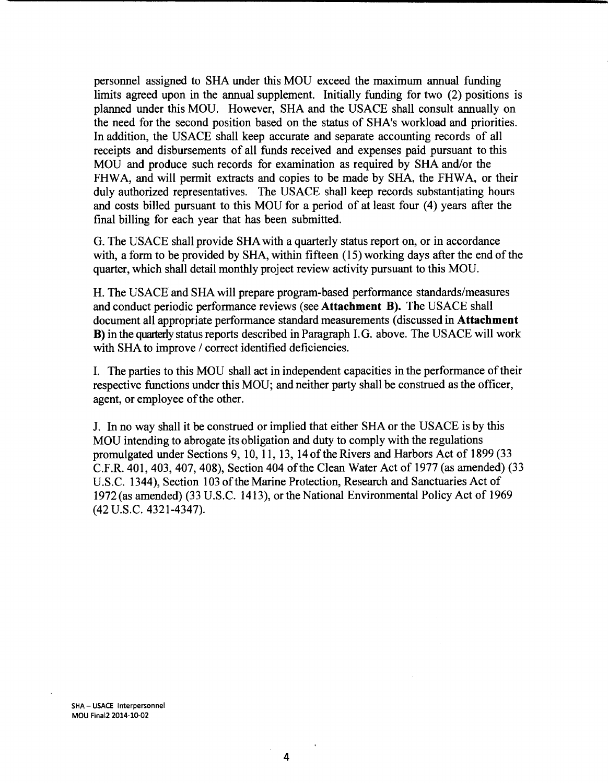personnel assigned to SHA under this MOU exceed the maximum annual funding limits agreed upon in the annual supplement. Initially funding for two (2) positions is planned under this MOU. However, SHA and the USACE shall consult annually on the need for the second position based on the status of SHA's workload and priorities. In addition, the USACE shall keep accurate and separate accounting records of all receipts and disbursements of all funds received and expenses paid pursuant to this MOU and produce such records for examination as required by SHA and/or the FHWA, and will permit extracts and copies to be made by SHA, the FHWA, or their duly authorized representatives. The USACE shall keep records substantiating hours and costs billed pursuant to this MOU for a period of at least four (4) years after the final billing for each year that has been submitted.

G. The USACE shall provide SHA with a quarterly status report on, or in accordance with, a form to be provided by SHA, within fifteen (15) working days after the end of the quarter, which shall detail monthly project review activity pursuant to this MOU.

H. The USACE and SHA will prepare program-based performance standards/measures and conduct periodic performance reviews (see **Attachment B).** The USACE shall document all appropriate performance standard measurements (discussed in **Attachment B)** in the quarterly status reports described in Paragraph I. G. above. The USACE will work with SHA to improve / correct identified deficiencies.

I. The parties to this MOU shall act in independent capacities in the performance of their respective functions under this MOU; and neither party shall be construed as the officer, agent, or employee of the other.

J. In no way shall it be construed or implied that either SHA or the USACE is by this MOU intending to abrogate its obligation and duty to comply with the regulations promulgated under Sections 9, 10, 11, 13, 14ofthe Rivers and Harbors Act of 1899 (33 C.F.R. 401, 403, 407, 408), Section 404 of the Clean Water Act of 1977 (as amended) (33 U.S.C. 1344), Section 103 of the Marine Protection, Research and Sanctuaries Act of 1972(as amended) (33 U.S.C. 1413), or the National Environmental Policy Act of 1969 (42 u.s.c. 4321-4347).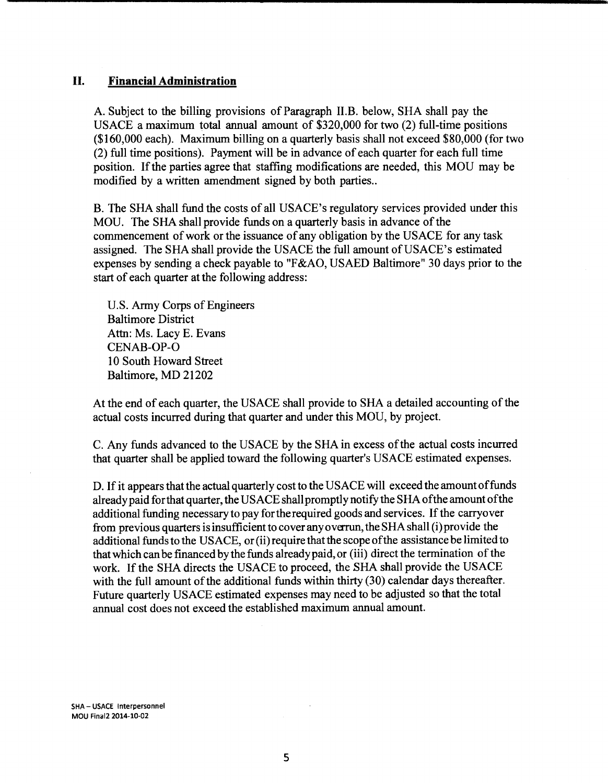## II. **Financial Administration**

A. Subject to the billing provisions of Paragraph II.B. below, SHA shall pay the USACE a maximum total annual amount of \$320,000 for two (2) full-time positions (\$160,000 each). Maximum billing on a quarterly basis shall not exceed \$80,000 (for two (2) full time positions). Payment will be in advance of each quarter for each full time position. If the parties agree that staffing modifications are needed, this MOU may be modified by a written amendment signed by both parties..

B. The SHA shall fund the costs of all USACE's regulatory services provided under this MOU. The SHA shall provide funds on a quarterly basis in advance of the commencement of work or the issuance of any obligation by the USACE for any task assigned. The SHA shall provide the USACE the full amount of USACE's estimated expenses by sending a check payable to "F&AO, USAED Baltimore" 30 days prior to the start of each quarter at the following address:

U.S. Army Corps of Engineers Baltimore District Attn: Ms. Lacy E. Evans CENAB-OP-0 10 South Howard Street Baltimore, MD 21202

At the end of each quarter, the USACE shall provide to SHA a detailed accounting of the actual costs incurred during that quarter and under this MOU, by project.

C. Any funds advanced to the USACE by the SHAin excess of the actual costs incurred that quarter shall be applied toward the following quarter's USACE estimated expenses.

D. If it appears that the actual quarterly cost to the USACE will exceed the amount of funds already paid for that quarter, the USACE shall promptly notify the SHA of the amount of the additional funding necessary to pay for the required goods and services. If the carryover from previous quarters is insufficient to cover any overrun, the SHA shall (i) provide the additional funds to the USACE, or (ii) require that the scope of the assistance be limited to that which can be financed by the funds already paid, or (iii) direct the termination of the work. If the SHA directs the USACE to proceed, the *SHA* shall provide the USACE with the full amount of the additional funds within thirty (30) calendar days thereafter. Future quarterly USACE estimated expenses may need to be adjusted so that the total annual cost does not exceed the established maximum annual amount.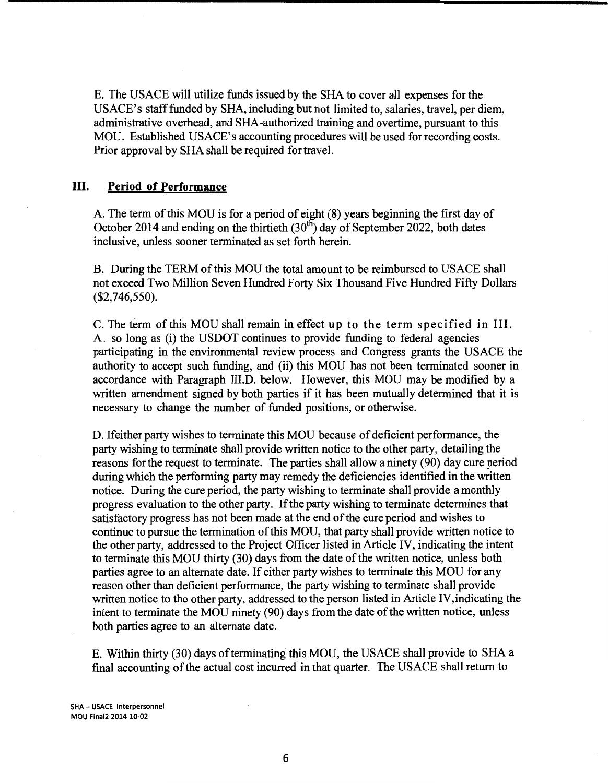E. The USACE will utilize funds issued by the SHA to cover all expenses for the USACE's staff funded by SHA, including but not limited to, salaries, travel, per diem, administrative overhead, and SHA-authorized training and overtime, pursuant to this MOU. Established USACE's accounting procedures will be used forrecording costs. Prior approval by SHA shall be required for travel.

## III. **Period of Performance**

A. The term of this MOU is for a period of eight (8) years beginning the first day of October 2014 and ending on the thirtieth  $(30<sup>th</sup>)$  day of September 2022, both dates inclusive, unless sooner terminated as set forth herein.

B. During the TERM of this MOU the total amount to be reimbursed to USACE shall not exceed Two Million Seven Hundred Forty Six Thousand Five Hundred Fifty Dollars (\$2, 746,550).

C. The term of this MOU shall remain in effect up to the term specified in III. A. so long as (i) the USDOT continues to provide funding to federal agencies participating in the environmental review process and Congress grants the USACE the authority to accept such funding, and (ii) this MOU has not been terminated sooner in accordance with Paragraph III.D. below. However, this MOU may be modified by a written amendment signed by both parties if it has been mutually determined that it is necessary to change the number of funded positions, or otherwise.

D. Ifeither party wishes to terminate this MOU because of deficient performance, the party wishing to terminate shall provide written notice to the other party, detailing the reasons for the request to terminate. The parties shall allow a ninety (90) day cure period during which the performing party may remedy the deficiencies identified in the written notice. During the cure period, the party wishing to terminate shall provide a monthly progress evaluation to the other party. If the party wishing to terminate determines that satisfactory progress has not been made at the end of the cure period and wishes to continue to pursue the termination of this MOU, that party shall provide written notice to the other party, addressed to the Project Officer listed in Article IV, indicating the intent to terminate this MOU thirty (30) days from the date of the written notice, unless both parties agree to an alternate date. If either party wishes to terminate this MOU for any reason other than deficient performance, the party wishing to terminate shall provide written notice to the other party, addressed to the person listed in Article IV, indicating the intent to terminate the MOU ninety (90) days from the date of the written notice, unless both parties agree to an alternate date.

E. Within thirty (30) days of terminating this MOU, the USACE shall provide to SHA a final accounting of the actual cost incurred in that quarter. The USACE shall return to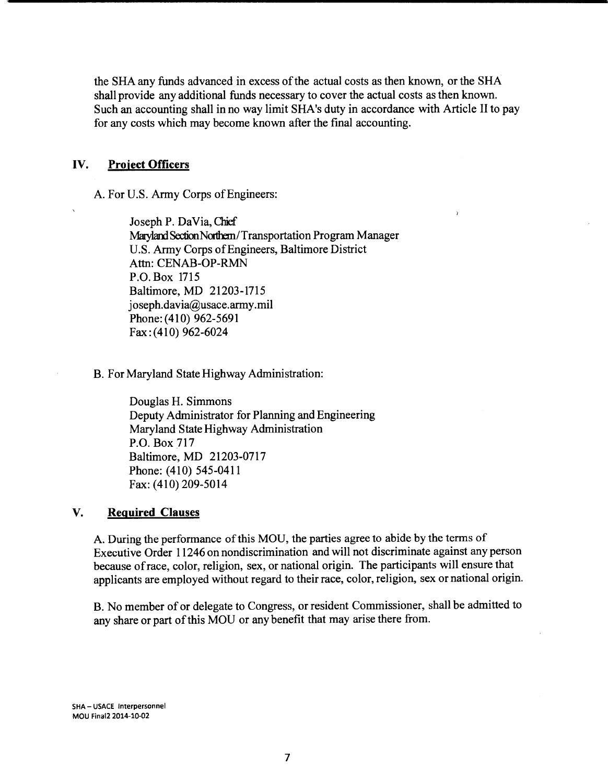the SHA any funds advanced in excess of the actual costs as then known, or the SHA shall provide any additional funds necessary to cover the actual costs as then known. Such an accounting shall in no way limit SHA's duty in accordance with Article II to pay for any costs which may become known after the final accounting.

## IV. **Project Officers**

A. For U.S. Army Corps of Engineers:

Joseph P. DaVia, Chief Maryland Section Northern/Transportation Program Manager U.S. Army Corps of Engineers, Baltimore District Attn: CENAB-OP-RMN P.O. Box 1715 Baltimore, MD 21203-1715 joseph.davia@usace.army.mil Phone: (410) 962-5691 Fax: (410) 962-6024

B. For Maryland State Highway Administration:

Douglas H. Simmons Deputy Administrator for Planning and Engineering Maryland State Highway Administration P.O. Box 717 Baltimore, MD 21203-0717 Phone: (410) 545-0411 Fax: (410) 209-5014

## **V. Required Clauses**

A. During the performance of this MOU, the parties agree to abide by the terms of Executive Order 11246 on nondiscrimination and will not discriminate against any person because of race, color, religion, sex, or national origin. The participants will ensure that applicants are employed without regard to their race, color, religion, sex or national origin.

B. No member of or delegate to Congress, or resident Commissioner, shall be admitted to any share or part of this MOU or any benefit that may arise there from.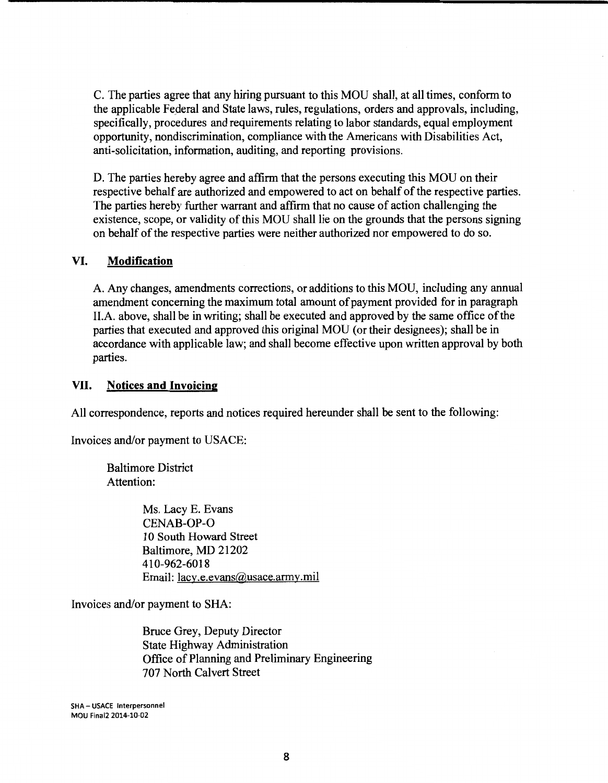C. The parties agree that any hiring pursuant to this MOU shall, at all times, conform to the applicable Federal and State laws, rules, regulations, orders and approvals, including, specifically, procedures and requirements relating to labor standards, equal employment opportunity, nondiscrimination, compliance with the Americans with Disabilities Act, anti-solicitation, information, auditing, and reporting provisions.

D. The parties hereby agree and affirm that the persons executing this MOU on their respective behalf are authorized and empowered to act on behalf of the respective parties. The parties hereby further warrant and affirm that no cause of action challenging the existence, scope, or validity of this MOU shall lie on the grounds that the persons signing on behalf of the respective parties were neither authorized nor empowered to do so.

## **VI. Modification**

A. Any changes, amendments corrections, or additions to this MOU, including any annual amendment concerning the maximum total amount of payment provided for in paragraph II.A. above, shall be in writing; shall be executed and approved by the same office of the parties that executed and approved this original MOU (or their designees); shall be in accordance with applicable law; and shall become effective upon written approval by both parties.

## **VII. Notices and Invoicing**

All correspondence, reports and notices required hereunder shall be sent to the following:

Invoices and/or payment to USACE:

Baltimore District Attention:

> Ms. Lacy E. Evans CENAB-OP-0 10 South Howard Street Baltimore, MD 21202 410-962-6018 Email: lacy.e.evans@usace.army.mil

Invoices and/or payment to SHA:

Bruce Grey, Deputy Director State Highway Administration Office of Planning and Preliminary Engineering 707 North Calvert Street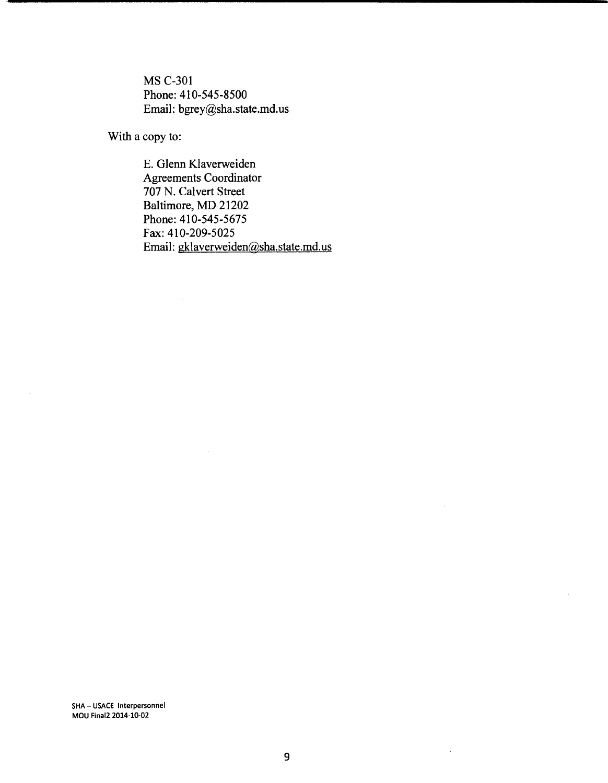MS C-301 Phone:410-545-8500 Email: bgrey@sha.state.md.us

With a copy to:

E. Glenn Klaverweiden Agreements Coordinator 707 N. Calvert Street Baltimore, MD 21202 Phone: 410-545-5675 Fax: 410-209-5025 Email: gklaverweiden@sha.state.md.us

SHA- USACE lnterpersonnel MOU Final2 2014-10-02

÷.

 $\ddot{\phantom{a}}$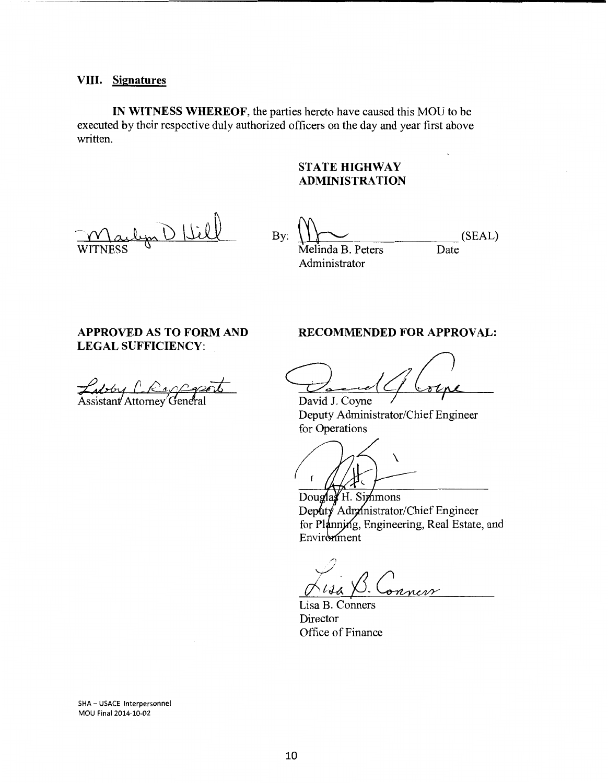### **VIII. Signatures**

**IN WITNESS WHEREOF,** the parties hereto have caused this MOU to be executed by their respective duly authorized officers on the day and year first above written.

# **STATE HIGHWAY ADMINISTRATION**

D Hil **WITNESS** 

By:  $\bigoplus_{k=1}^{\infty}$  (SEAL) Melinda B. Peters Date Administrator

## **APPROVED AS TO FORM AND LEGAL SUFFICIENCY:**

Zabby L'Rapp

### **RECOMMENDED FOR APPROVAL:**

David J. Coyne *David J. Coyne* 

Deputy Administrator/Chief Engineer for Operations

 $\overline{\phantom{0}}$ 

Douglay H. Simmons Deputy Administrator/Chief Engineer for Planning, Engineering, Real Estate, and Environment

ness

Lisa B. Conners Director Office of Finance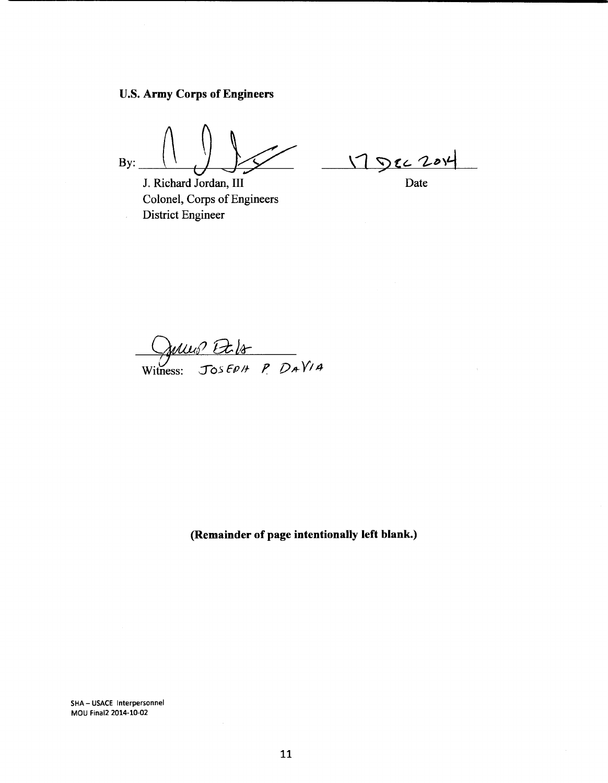U.S. **Army Corps of Engineers** 

By:  $\left(\left(\begin{array}{c}\right)\\ \vdots\\ \left.\right.\\ \left.\right.\\ \left.\right.\\ \left.\right.\\ \left.\right.\\ \left.\right.\\ \left.\right.\\ \left.\right.\\ \left.\right.\\ \left\{D\right\}$ 

J. Richard Jordan, III Colonel, Corps of Engineers District Engineer

1 Dec 2014

Julles Et 18<br>Witness: JOSEPH P. DAVIA

**(Remainder of page intentionally left blank.)**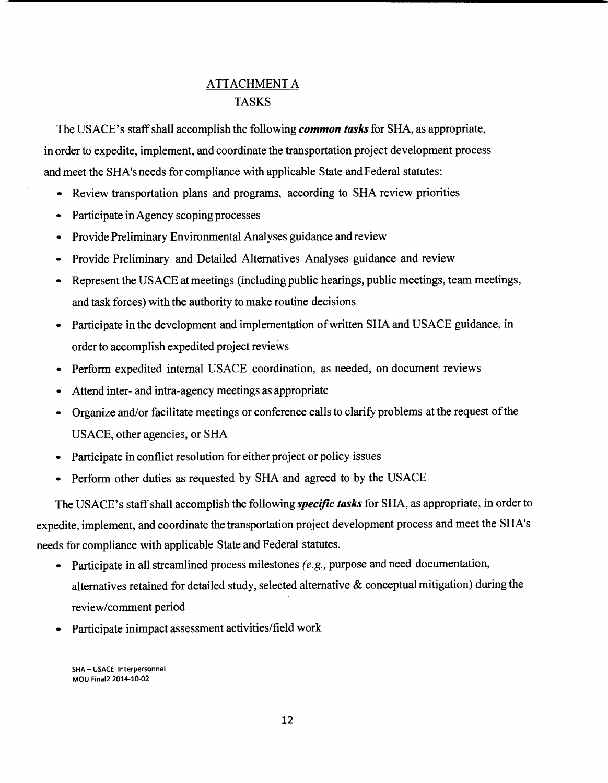# ATTACHMENT A TASKS

The USACE's staff shall accomplish the following *common tasks* for SHA, as appropriate, in order to expedite, implement, and coordinate the transportation project development process and meet the SHA'sneeds for compliance with applicable State and Federal statutes:

- Review transportation plans and programs, according to SHA review priorities
- Participate in Agency scoping processes
- Provide Preliminary Environmental Analyses guidance and review
- Provide Preliminary and Detailed Alternatives Analyses guidance and review
- Represent the USACE at meetings (including public hearings, public meetings, team meetings, and task forces) with the authority to make routine decisions
- Participate in the development and implementation of written SHA and USACE guidance, in order to accomplish expedited project reviews
- Perform expedited internal USACE coordination, as needed, on document reviews
- Attend inter- and intra-agency meetings as appropriate
- Organize and/or facilitate meetings or conference calls to clarify problems at the request of the USACE, other agencies, or SHA
- Participate in conflict resolution for either project or policy issues
- Perform other duties as requested by SHA and agreed to by the USACE

The USACE's staff shall accomplish the following *specific tasks* for SHA, as appropriate, in order to expedite, implement, and coordinate the transportation project development process and meet the SHA's needs for compliance with applicable State and Federal statutes.

- Participate in all streamlined process milestones *(e.g.,* purpose and need documentation, alternatives retained for detailed study, selected alternative & conceptual mitigation) during the review/comment period
- Participate inimpact assessment activities/field work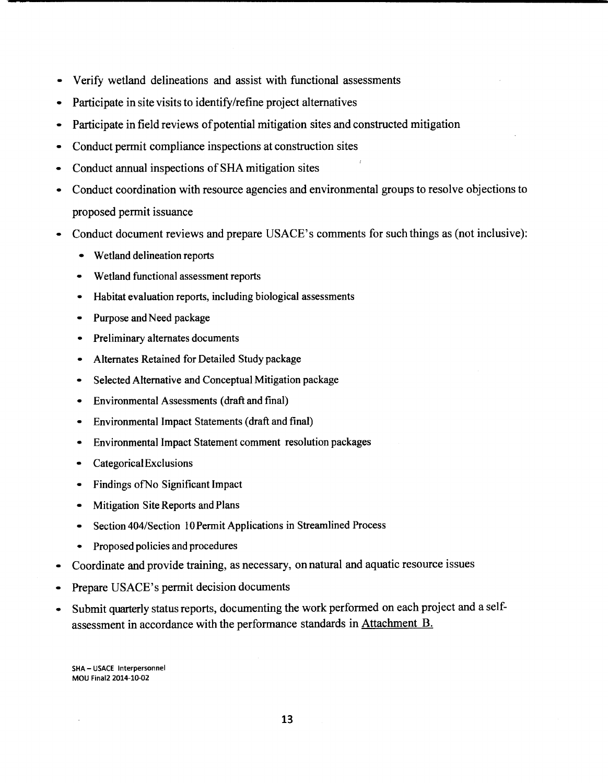- Verify wetland delineations and assist with functional assessments
- Participate in site visits to identify/refine project alternatives
- Participate in field reviews of potential mitigation sites and constructed mitigation
- Conduct permit compliance inspections at construction sites
- Conduct annual inspections of SHA mitigation sites
- Conduct coordination with resource agencies and environmental groups to resolve objections to proposed permit issuance
- Conduct document reviews and prepare USACE's comments for such things as (not inclusive):
	- Wetland delineation reports
	- Wetland functional assessment reports
	- Habitat evaluation reports, including biological assessments
	- Purpose and Need package
	- Preliminary alternates documents
	- Alternates Retained for Detailed Study package
	- Selected Alternative and Conceptual Mitigation package
	- Environmental Assessments (draft and final)
	- Environmental Impact Statements (draft and final)
	- Environmental Impact Statement comment resolution packages
	- CategoricalExclusions
	- Findings ofNo Significant Impact
	- Mitigation Site Reports and Plans
	- Section 404/Section 10 Permit Applications in Streamlined Process
	- Proposed policies and procedures
- Coordinate and provide training, as necessary, on natural and aquatic resource issues
- Prepare USACE's permit decision documents
- Submit quarterly status reports, documenting the work performed on each project and a selfassessment in accordance with the performance standards in Attachment B.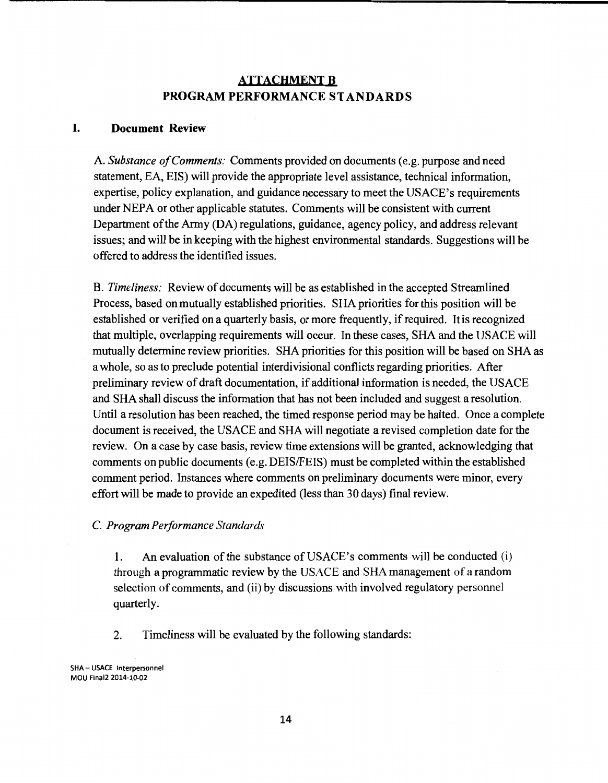# **ATTACHMENT B PROGRAMPERFORMANCESTANDARDS**

### **I. Document Review**

A. *Substance of Comments:* Comments provided on documents (e.g. purpose and need statement, EA, EIS) will provide the appropriate level assistance, technical information, expertise, policy explanation, and guidance necessary to meet the USACE's requirements under NEPA or other applicable statutes. Comments will be consistent with current Department of the Army (DA) regulations, guidance, agency policy, and address relevant issues; and will be in keeping with the highest environmental standards. Suggestions will be offered to address the identified issues.

B. *Timeliness:* Review of documents will be as established in the accepted Streamlined Process, based on mutually established priorities. SHA priorities for this position will be established or verified on a quarterly basis, or more frequently, if required. It is recognized that multiple, overlapping requirements will occur. In these cases, SHA and the USACE will mutually determine review priorities. SHA priorities for this position will be based on SHA as a whole, so as to preclude potential interdivisional conflicts regarding priorities. After preliminary review of draft documentation, if additional information is needed, the USACE and SHA shall discuss the information that has not been included and suggest a resolution. Until a resolution has been reached, the timed response period may be halted. Once a complete document is received, the USACE and SHA will negotiate a revised completion date for the review. On a case by case basis, review time extensions will be granted, acknowledging that comments on public documents (e.g. DEIS/FEIS) must be completed within the established comment period. Instances where comments on preliminary documents were minor, every effort will be made to provide an expedited (less than 30 days) final review.

C. *Program Performance* Standard~·

1. An evaluation of the substance of USACE's comments will be conducted (i) through a programmatic review by the USACE and SHA management of a random selection of comments, and (ii) by discussions with involved regulatory personnel quarterly.

2. Timeliness will be evaluated by the following standards: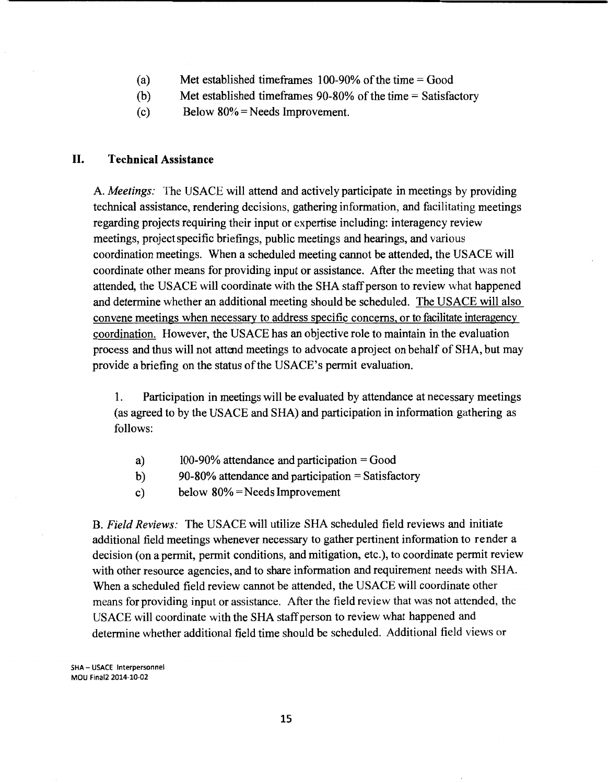- (a) Met established timeframes  $100-90\%$  of the time = Good
- (b) Met established timeframes 90-80% of the time = Satisfactory
- (c) Below  $80\%$  = Needs Improvement.

## **II. Technical Assistance**

A. *Meetings:* The USACE will attend and actively participate in meetings by providing technical assistance, rendering decisions, gathering information, and facilitating meetings regarding projects requiring their input or expertise including: interagency review meetings, project specific briefings, public meetings and hearings, and various coordination meetings. When a scheduled meeting cannot be attended, the USACE will coordinate other means for providing input or assistance. After the meeting that was not attended, the USACE will coordinate with the SHA staff person to review what happened and determine whether an additional meeting should be scheduled. The USACE will also convene meetings when necessary to address specific concerns, or to facilitate interagency coordination. However, the USACE has an objective role to maintain in the evaluation process and thus will not attend meetings to advocate a project on behalf of SHA, but may provide a briefing on the status of the USACE's permit evaluation.

1. Participation in meetings will be evaluated by attendance at necessary meetings (as agreed to by the USACE and SHA) and participation in information gathering as follows:

- a)  $100-90\%$  attendance and participation = Good
- b) 90-80% attendance and participation = Satisfactory
- c) below 80% =Needs Improvement

B. *Field Reviews:* The USACE will utilize SHA scheduled field reviews and initiate additional field meetings whenever necessary to gather pertinent information to render a decision (on a permit, permit conditions, and mitigation, etc.), to coordinate permit review with other resource agencies, and to share information and requirement needs with SHA. When a scheduled field review cannot be attended, the USACE will coordinate other means for providing input or assistance. After the field review that was not attended, the USACE will coordinate with the SHA staff person to review what happened and determine whether additional field time should be scheduled. Additional field views or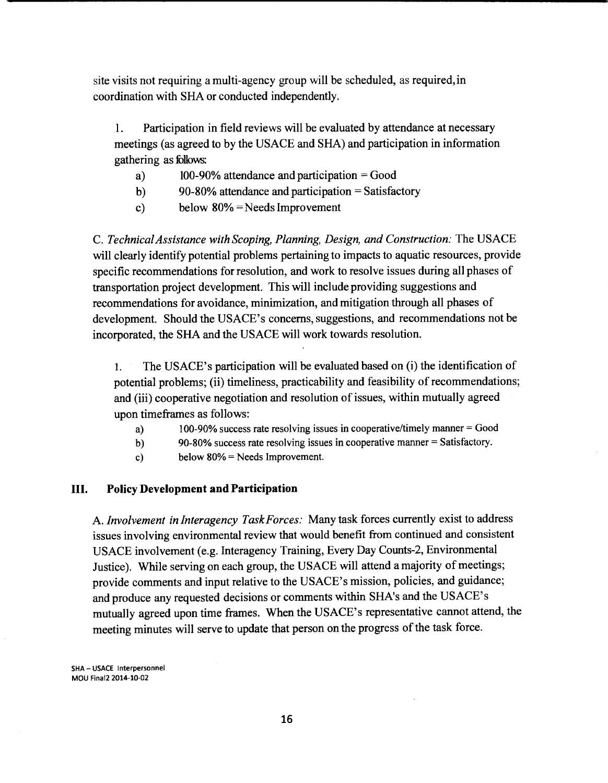site visits not requiring a multi-agency group will be scheduled, as required, in coordination with SHA or conducted independently.

1. Participation in field reviews will be evaluated by attendance at necessary meetings (as agreed to by the USACE and SHA) and participation in information gathering as follows:

- a)  $100-90\%$  attendance and participation = Good
- b) 90-80% attendance and participation = Satisfactory
- c) below 80% =Needs Improvement

C. *Technical Assistance with Scoping, Planning, Design, and Construction:* The USACE will clearly identify potential problems pertaining to impacts to aquatic resources, provide specific recommendations for resolution, and work to resolve issues during all phases of transportation project development. This will include providing suggestions and recommendations for avoidance, minimization, and mitigation through all phases of development. Should the USACE's concerns, suggestions, and recommendations not be incorporated, the SHA and the USACE will work towards resolution.

1. The USACE's participation will be evaluated based on (i) the identification of potential problems; (ii) timeliness, practicability and feasibility of recommendations; and (iii) cooperative negotiation and resolution of issues, within mutually agreed upon timeframes as follows:

- a) 100-90% success rate resolving issues in cooperative/timely manner = Good
- b) 90-80% success rate resolving issues in cooperative manner= Satisfactory.
- c) below  $80\%$  = Needs Improvement.

#### III. **Policy Development and Participation**

A. *Involvement in Interagency TaskForces:* Many task forces currently exist to address issues involving environmental review that would benefit from continued and consistent USACE involvement (e.g. Interagency Training, Every Day Counts-2, Environmental Justice). While serving on each group, the USACE will attend a majority of meetings; provide comments and input relative to the USACE's mission, policies, and guidance; and produce any requested decisions or comments within SHA's and the USACE's mutually agreed upon time frames. When the USACE's representative cannot attend, the meeting minutes will serve to update that person on the progress of the task force.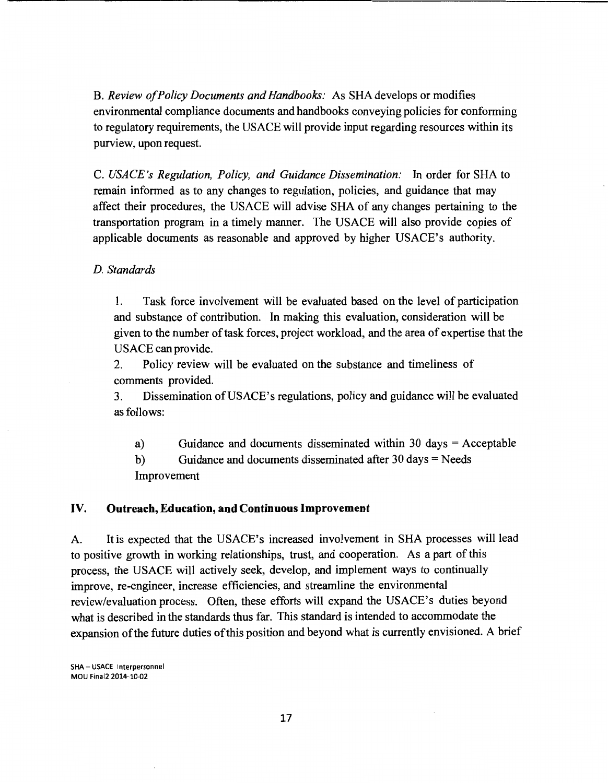B. *Review of Policy Documents and Handbooks:* As SHA develops or modifies environmental compliance documents and handbooks conveying policies for conforming to regulatory requirements, the USACE will provide input regarding resources within its purview, upon request.

C. *USACE's Regulation, Policy, and Guidance Dissemination:* In order for SHA to remain informed as to any changes to regulation, policies, and guidance that may affect their procedures, the USACE will advise SHA of any changes pertaining to the transportation program in a timely manner. The USACE will also provide copies of applicable documents as reasonable and approved by higher USACE's authority.

## *D. Standards*

1. Task force involvement will be evaluated based on the level of participation and substance of contribution. In making this evaluation, consideration will be given to the number of task forces, project workload, and the area of expertise that the USACE can provide.

2. Policy review will be evaluated on the substance and timeliness of comments provided.

3. Dissemination ofUSACE's regulations, policy and guidance will be evaluated as follows:

a) Guidance and documents disseminated within 30 days = Acceptable

b) Guidance and documents disseminated after  $30 \text{ days} = \text{Needs}$ Improvement

### IV. **Outreach, Education, and Continuous Improvement**

A. It is expected that the USACE's increased involvement in SHA processes will lead to positive growth in working relationships, trust, and cooperation. As a part of this process, the USACE will actively seek, develop, and implement ways to continually improve, re-engineer, increase efficiencies, and streamline the environmental review/evaluation process. Often, these efforts will expand the USACE's duties beyond what is described in the standards thus far. This standard is intended to accommodate the expansion of the future duties of this position and beyond what is currently envisioned. A brief